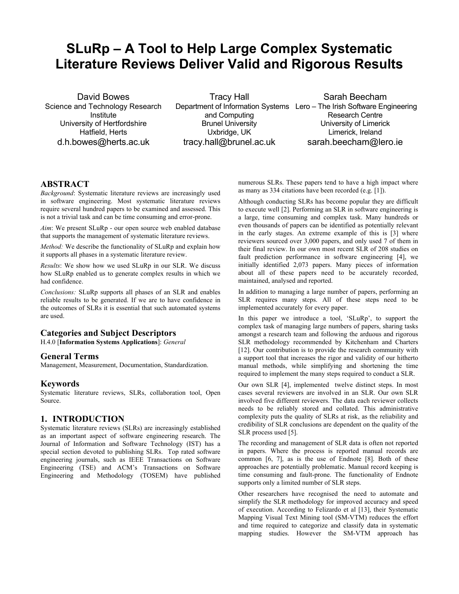# **SLuRp – A Tool to Help Large Complex Systematic Literature Reviews Deliver Valid and Rigorous Results**

David Bowes Science and Technology Research **Institute** University of Hertfordshire Hatfield, Herts d.h.bowes@herts.ac.uk

Tracy Hall and Computing Brunel University Uxbridge, UK tracy.hall@brunel.ac.uk

 Department of Information Systems Lero – The Irish Software Engineering Sarah Beecham Research Centre University of Limerick Limerick, Ireland sarah.beecham@lero.ie

## **ABSTRACT**

*Background*: Systematic literature reviews are increasingly used in software engineering. Most systematic literature reviews require several hundred papers to be examined and assessed. This is not a trivial task and can be time consuming and error-prone.

*Aim*: We present SLuRp - our open source web enabled database that supports the management of systematic literature reviews.

*Method:* We describe the functionality of SLuRp and explain how it supports all phases in a systematic literature review.

*Results*: We show how we used SLuRp in our SLR. We discuss how SLuRp enabled us to generate complex results in which we had confidence.

*Conclusions:* SLuRp supports all phases of an SLR and enables reliable results to be generated. If we are to have confidence in the outcomes of SLRs it is essential that such automated systems are used.

# **Categories and Subject Descriptors**

H.4.0 [**Information Systems Applications**]: *General*

## **General Terms**

Management, Measurement, Documentation, Standardization.

#### **Keywords**

Systematic literature reviews, SLRs, collaboration tool, Open Source.

## **1. INTRODUCTION**

Systematic literature reviews (SLRs) are increasingly established as an important aspect of software engineering research. The Journal of Information and Software Technology (IST) has a special section devoted to publishing SLRs. Top rated software engineering journals, such as IEEE Transactions on Software Engineering (TSE) and ACM's Transactions on Software Engineering and Methodology (TOSEM) have published numerous SLRs. These papers tend to have a high impact where as many as 334 citations have been recorded (e.g. [1]).

Although conducting SLRs has become popular they are difficult to execute well [2]. Performing an SLR in software engineering is a large, time consuming and complex task. Many hundreds or even thousands of papers can be identified as potentially relevant in the early stages. An extreme example of this is [3] where reviewers sourced over 3,000 papers, and only used 7 of them in their final review. In our own most recent SLR of 208 studies on fault prediction performance in software engineering [4], we initially identified 2,073 papers. Many pieces of information about all of these papers need to be accurately recorded, maintained, analysed and reported.

In addition to managing a large number of papers, performing an SLR requires many steps. All of these steps need to be implemented accurately for every paper.

In this paper we introduce a tool, 'SLuRp', to support the complex task of managing large numbers of papers, sharing tasks amongst a research team and following the arduous and rigorous SLR methodology recommended by Kitchenham and Charters [12]. Our contribution is to provide the research community with a support tool that increases the rigor and validity of our hitherto manual methods, while simplifying and shortening the time required to implement the many steps required to conduct a SLR.

Our own SLR [4], implemented twelve distinct steps. In most cases several reviewers are involved in an SLR. Our own SLR involved five different reviewers. The data each reviewer collects needs to be reliably stored and collated. This administrative complexity puts the quality of SLRs at risk, as the reliability and credibility of SLR conclusions are dependent on the quality of the SLR process used [5].

The recording and management of SLR data is often not reported in papers. Where the process is reported manual records are common [6, 7], as is the use of Endnote [8]. Both of these approaches are potentially problematic. Manual record keeping is time consuming and fault-prone. The functionality of Endnote supports only a limited number of SLR steps.

Other researchers have recognised the need to automate and simplify the SLR methodology for improved accuracy and speed of execution. According to Felizardo et al [13], their Systematic Mapping Visual Text Mining tool (SM-VTM) reduces the effort and time required to categorize and classify data in systematic mapping studies. However the SM-VTM approach has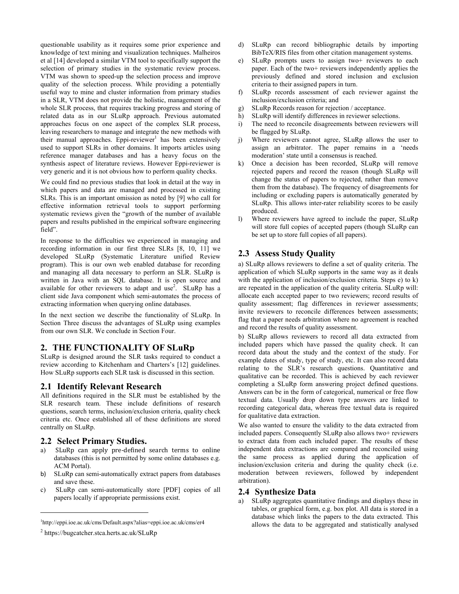questionable usability as it requires some prior experience and knowledge of text mining and visualization techniques. Malheiros et al [14] developed a similar VTM tool to specifically support the selection of primary studies in the systematic review process. VTM was shown to speed-up the selection process and improve quality of the selection process. While providing a potentially useful way to mine and cluster information from primary studies in a SLR, VTM does not provide the holistic, management of the whole SLR process, that requires tracking progress and storing of related data as in our SLuRp approach. Previous automated approaches focus on one aspect of the complex SLR process, leaving researchers to manage and integrate the new methods with their manual approaches. Eppi-reviewer<sup>1</sup> has been extensively used to support SLRs in other domains. It imports articles using reference manager databases and has a heavy focus on the synthesis aspect of literature reviews. However Eppi-reviewer is very generic and it is not obvious how to perform quality checks.

We could find no previous studies that look in detail at the way in which papers and data are managed and processed in existing SLRs. This is an important omission as noted by [9] who call for effective information retrieval tools to support performing systematic reviews given the "growth of the number of available papers and results published in the empirical software engineering field".

In response to the difficulties we experienced in managing and recording information in our first three SLRs [8, 10, 11] we developed SLuRp (Systematic Literature unified Review program). This is our own web enabled database for recording and managing all data necessary to perform an SLR. SLuRp is written in Java with an SQL database. It is open source and available for other reviewers to adapt and use<sup>2</sup>. SLuRp has a client side Java component which semi-automates the process of extracting information when querying online databases.

In the next section we describe the functionality of SLuRp. In Section Three discuss the advantages of SLuRp using examples from our own SLR. We conclude in Section Four.

#### **2. THE FUNCTIONALITY OF SLuRp**

SLuRp is designed around the SLR tasks required to conduct a review according to Kitchenham and Charters's [12] guidelines. How SLuRp supports each SLR task is discussed in this section.

#### **2.1 Identify Relevant Research**

All definitions required in the SLR must be established by the SLR research team. These include definitions of research questions, search terms, inclusion/exclusion criteria, quality check criteria etc. Once established all of these definitions are stored centrally on SLuRp.

#### **2.2 Select Primary Studies.**

- a) SLuRp can apply pre-defined search terms to online databases (this is not permitted by some online databases e.g. ACM Portal).
- b) SLuRp can semi-automatically extract papers from databases and save these.
- c) SLuRp can semi-automatically store [PDF] copies of all papers locally if appropriate permissions exist.

 $\overline{a}$ 

- d) SLuRp can record bibliographic details by importing BibTeX/RIS files from other citation management systems.
- e) SLuRp prompts users to assign two+ reviewers to each paper. Each of the two+ reviewers independently applies the previously defined and stored inclusion and exclusion criteria to their assigned papers in turn.
- f) SLuRp records assessment of each reviewer against the inclusion/exclusion criteria; and
- g) SLuRp Records reason for rejection / acceptance.
- h) SLuRp will identify differences in reviewer selections.
- i) The need to reconcile disagreements between reviewers will be flagged by SLuRp.
- j) Where reviewers cannot agree, SLuRp allows the user to assign an arbitrator. The paper remains in a 'needs moderation' state until a consensus is reached.
- k) Once a decision has been recorded, SLuRp will remove rejected papers and record the reason (though SLuRp will change the status of papers to rejected, rather than remove them from the database). The frequency of disagreements for including or excluding papers is automatically generated by SLuRp. This allows inter-rater reliability scores to be easily produced.
- l) Where reviewers have agreed to include the paper, SLuRp will store full copies of accepted papers (though SLuRp can be set up to store full copies of all papers).

#### **2.3 Assess Study Quality**

a) SLuRp allows reviewers to define a set of quality criteria. The application of which SLuRp supports in the same way as it deals with the application of inclusion/exclusion criteria. Steps e) to k) are repeated in the application of the quality criteria. SLuRp will: allocate each accepted paper to two reviewers; record results of quality assessment; flag differences in reviewer assessments; invite reviewers to reconcile differences between assessments; flag that a paper needs arbitration where no agreement is reached and record the results of quality assessment.

b) SLuRp allows reviewers to record all data extracted from included papers which have passed the quality check. It can record data about the study and the context of the study. For example dates of study, type of study, etc. It can also record data relating to the SLR's research questions. Quantitative and qualitative can be recorded. This is achieved by each reviewer completing a SLuRp form answering project defined questions. Answers can be in the form of categorical, numerical or free flow textual data. Usually drop down type answers are linked to recording categorical data, whereas free textual data is required for qualitative data extraction.

We also wanted to ensure the validity to the data extracted from included papers. Consequently SLuRp also allows two+ reviewers to extract data from each included paper. The results of these independent data extractions are compared and reconciled using the same process as applied during the application of inclusion/exclusion criteria and during the quality check (i.e. moderation between reviewers, followed by independent arbitration).

#### **2.4 Synthesize Data**

a) SLuRp aggregates quantitative findings and displays these in tables, or graphical form, e.g. box plot. All data is stored in a database which links the papers to the data extracted. This allows the data to be aggregated and statistically analysed

<sup>1</sup> http://eppi.ioe.ac.uk/cms/Default.aspx?alias=eppi.ioe.ac.uk/cms/er4

<sup>2</sup> https://bugcatcher.stca.herts.ac.uk/SLuRp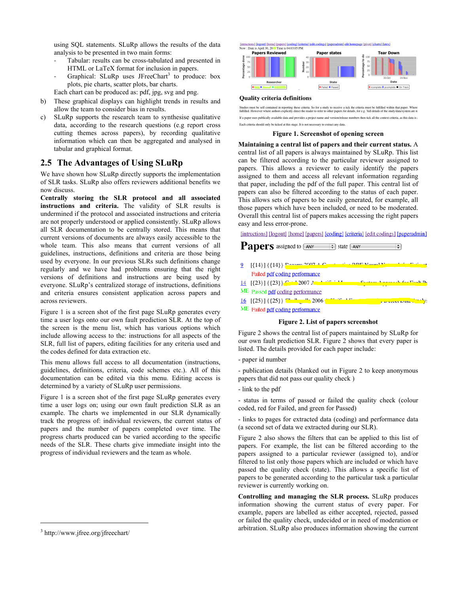using SQL statements. SLuRp allows the results of the data analysis to be presented in two main forms:

- Tabular: results can be cross-tabulated and presented in HTML or LaTeX format for inclusion in papers.
- Graphical: SLuRp uses JFreeChart<sup>3</sup> to produce: box plots, pie charts, scatter plots, bar charts.

Each chart can be produced as: pdf, jpg, svg and png.

- b) These graphical displays can highlight trends in results and allow the team to consider bias in results.
- c) SLuRp supports the research team to synthesise qualitative data, according to the research questions (e.g report cross cutting themes across papers), by recording qualitative information which can then be aggregated and analysed in tabular and graphical format.

#### **2.5 The Advantages of Using SLuRp**

We have shown how SLuRp directly supports the implementation of SLR tasks. SLuRp also offers reviewers additional benefits we now discuss.

**Centrally storing the SLR protocol and all associated instructions and criteria.** The validity of SLR results is undermined if the protocol and associated instructions and criteria are not properly understood or applied consistently. SLuRp allows all SLR documentation to be centrally stored. This means that current versions of documents are always easily accessible to the whole team. This also means that current versions of all guidelines, instructions, definitions and criteria are those being used by everyone. In our previous SLRs such definitions change regularly and we have had problems ensuring that the right versions of definitions and instructions are being used by everyone. SLuRp's centralized storage of instructions, definitions and criteria ensures consistent application across papers and across reviewers.

Figure 1 is a screen shot of the first page SLuRp generates every time a user logs onto our own fault prediction SLR. At the top of the screen is the menu list, which has various options which include allowing access to the: instructions for all aspects of the SLR, full list of papers, editing facilities for any criteria used and the codes defined for data extraction etc.

This menu allows full access to all documentation (instructions, guidelines, definitions, criteria, code schemes etc.). All of this documentation can be edited via this menu. Editing access is determined by a variety of SLuRp user permissions.

Figure 1 is a screen shot of the first page SLuRp generates every time a user logs on; using our own fault prediction SLR as an example. The charts we implemented in our SLR dynamically track the progress of: individual reviewers, the current status of papers and the number of papers completed over time. The progress charts produced can be varied according to the specific needs of the SLR. These charts give immediate insight into the progress of individual reviewers and the team as whole.

 $\overline{a}$ 



**Quality criteria definitions** 

Studies must be self contained in reporting these criteria. So for a study to receive a tick the criteria must be fulfilled within that paper. Where<br>fulfilled. However where authors explicitly direct the reader to refer to If a paper uses publically available data and provides a project name and version/release numbers then tick all the context criteria, as this data is a Each criteria should only be ticked at this stage. It is not necessary to extract any data.

#### **Figure 1. Screenshot of opening screen**

**Maintaining a central list of papers and their current status.** A central list of all papers is always maintained by SLuRp. This list can be filtered according to the particular reviewer assigned to papers. This allows a reviewer to easily identify the papers assigned to them and access all relevant information regarding that paper, including the pdf of the full paper. This central list of papers can also be filtered according to the status of each paper. This allows sets of papers to be easily generated, for example, all those papers which have been included, or need to be moderated. Overall this central list of papers makes accessing the right papers easy and less error-prone.

[intructions] [logout] [home] [papers] [coding] [criteria] [edit codings] [paperadmin]

| <b>Papers</b> assigned to <b>ANY</b><br>$\div$ state $\int$ ANY                         |
|-----------------------------------------------------------------------------------------|
| $\begin{array}{lll} \mathbf{9} & \text{[\{14\}]\{14\}\} \text{ } \end{array}$           |
| Failed pdf coding performance                                                           |
| Contains American Con East De<br>14 [{23}] {{23}} <del>C + 1</del> 2007 A + + + + + + + |
| ME Passed <i>pdf</i> coding performance                                                 |

- $16$  [{25}] {{25}} <sup>a</sup> " <sup>11</sup> 2006 a **CONTRACTOR**
- ME Failed pdf coding performance

#### **Figure 2. List of papers screenshot**

Figure 2 shows the central list of papers maintained by SLuRp for our own fault prediction SLR. Figure 2 shows that every paper is listed. The details provided for each paper include:

- paper id number

- publication details (blanked out in Figure 2 to keep anonymous papers that did not pass our quality check )

- link to the pdf

- status in terms of passed or failed the quality check (colour coded, red for Failed, and green for Passed)

- links to pages for extracted data (coding) and performance data (a second set of data we extracted during our SLR).

Figure 2 also shows the filters that can be applied to this list of papers. For example, the list can be filtered according to the papers assigned to a particular reviewer (assigned to), and/or filtered to list only those papers which are included or which have passed the quality check (state). This allows a specific list of papers to be generated according to the particular task a particular reviewer is currently working on.

**Controlling and managing the SLR process.** SLuRp produces information showing the current status of every paper. For example, papers are labelled as either accepted, rejected, passed or failed the quality check, undecided or in need of moderation or arbitration. SLuRp also produces information showing the current

<sup>3</sup> http://www.jfree.org/jfreechart/